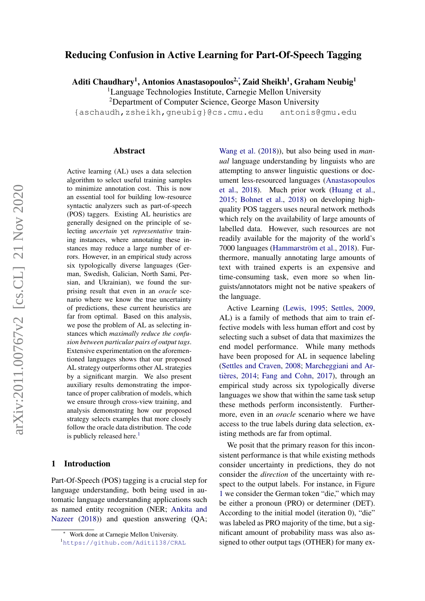# Reducing Confusion in Active Learning for Part-Of-Speech Tagging

Aditi Chaudhary<sup>1</sup>, Antonios Anastasopoulos<sup>2,</sup>\*, Zaid Sheikh<sup>1</sup>, Graham Neubig<sup>1</sup>

<sup>1</sup>Language Technologies Institute, Carnegie Mellon University

<sup>2</sup>Department of Computer Science, George Mason University

{aschaudh,zsheikh,gneubig}@cs.cmu.edu antonis@gmu.edu

#### Abstract

Active learning (AL) uses a data selection algorithm to select useful training samples to minimize annotation cost. This is now an essential tool for building low-resource syntactic analyzers such as part-of-speech (POS) taggers. Existing AL heuristics are generally designed on the principle of selecting *uncertain* yet *representative* training instances, where annotating these instances may reduce a large number of errors. However, in an empirical study across six typologically diverse languages (German, Swedish, Galician, North Sami, Persian, and Ukrainian), we found the surprising result that even in an *oracle* scenario where we know the true uncertainty of predictions, these current heuristics are far from optimal. Based on this analysis, we pose the problem of AL as selecting instances which *maximally reduce the confusion between particular pairs of output tags*. Extensive experimentation on the aforementioned languages shows that our proposed AL strategy outperforms other AL strategies by a significant margin. We also present auxiliary results demonstrating the importance of proper calibration of models, which we ensure through cross-view training, and analysis demonstrating how our proposed strategy selects examples that more closely follow the oracle data distribution. The code is publicly released here.<sup>[1](#page-0-0)</sup>

## 1 Introduction

Part-Of-Speech (POS) tagging is a crucial step for language understanding, both being used in automatic language understanding applications such as named entity recognition (NER; [Ankita and](#page-12-0) [Nazeer](#page-12-0) [\(2018\)](#page-12-0)) and question answering (QA;

[Wang et al.](#page-14-0) [\(2018\)](#page-14-0)), but also being used in *manual* language understanding by linguists who are attempting to answer linguistic questions or document less-resourced languages [\(Anastasopoulos](#page-12-1) [et al.,](#page-12-1) [2018\)](#page-12-1). Much prior work [\(Huang et al.,](#page-13-0) [2015;](#page-13-0) [Bohnet et al.,](#page-12-2) [2018\)](#page-12-2) on developing highquality POS taggers uses neural network methods which rely on the availability of large amounts of labelled data. However, such resources are not readily available for the majority of the world's 7000 languages [\(Hammarström et al.,](#page-13-1) [2018\)](#page-13-1). Furthermore, manually annotating large amounts of text with trained experts is an expensive and time-consuming task, even more so when linguists/annotators might not be native speakers of the language.

Active Learning [\(Lewis,](#page-13-2) [1995;](#page-13-2) [Settles,](#page-14-1) [2009,](#page-14-1) AL) is a family of methods that aim to train effective models with less human effort and cost by selecting such a subset of data that maximizes the end model performance. While many methods have been proposed for AL in sequence labeling [\(Settles and Craven,](#page-14-2) [2008;](#page-14-2) [Marcheggiani and Ar](#page-13-3)[tières,](#page-13-3) [2014;](#page-13-3) [Fang and Cohn,](#page-12-3) [2017\)](#page-12-3), through an empirical study across six typologically diverse languages we show that within the same task setup these methods perform inconsistently. Furthermore, even in an *oracle* scenario where we have access to the true labels during data selection, existing methods are far from optimal.

We posit that the primary reason for this inconsistent performance is that while existing methods consider uncertainty in predictions, they do not consider the *direction* of the uncertainty with respect to the output labels. For instance, in Figure [1](#page-1-0) we consider the German token "die," which may be either a pronoun (PRO) or determiner (DET). According to the initial model (iteration 0), "die" was labeled as PRO majority of the time, but a significant amount of probability mass was also assigned to other output tags (OTHER) for many ex-

<sup>∗</sup> Work done at Carnegie Mellon University.

<span id="page-0-0"></span><sup>1</sup><https://github.com/Aditi138/CRAL>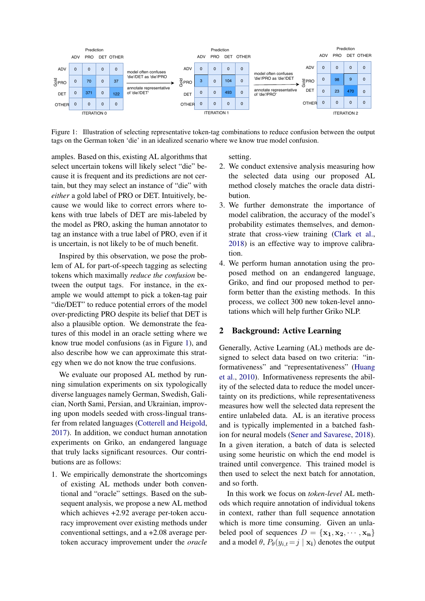

<span id="page-1-0"></span>Figure 1: Illustration of selecting representative token-tag combinations to reduce confusion between the output tags on the German token 'die' in an idealized scenario where we know true model confusion.

amples. Based on this, existing AL algorithms that select uncertain tokens will likely select "die" because it is frequent and its predictions are not certain, but they may select an instance of "die" with *either* a gold label of PRO or DET. Intuitively, because we would like to correct errors where tokens with true labels of DET are mis-labeled by the model as PRO, asking the human annotator to tag an instance with a true label of PRO, even if it is uncertain, is not likely to be of much benefit.

Inspired by this observation, we pose the problem of AL for part-of-speech tagging as selecting tokens which maximally *reduce the confusion* between the output tags. For instance, in the example we would attempt to pick a token-tag pair "die/DET" to reduce potential errors of the model over-predicting PRO despite its belief that DET is also a plausible option. We demonstrate the features of this model in an oracle setting where we know true model confusions (as in Figure [1\)](#page-1-0), and also describe how we can approximate this strategy when we do not know the true confusions.

We evaluate our proposed AL method by running simulation experiments on six typologically diverse languages namely German, Swedish, Galician, North Sami, Persian, and Ukrainian, improving upon models seeded with cross-lingual transfer from related languages [\(Cotterell and Heigold,](#page-12-4) [2017\)](#page-12-4). In addition, we conduct human annotation experiments on Griko, an endangered language that truly lacks significant resources. Our contributions are as follows:

1. We empirically demonstrate the shortcomings of existing AL methods under both conventional and "oracle" settings. Based on the subsequent analysis, we propose a new AL method which achieves +2.92 average per-token accuracy improvement over existing methods under conventional settings, and a +2.08 average pertoken accuracy improvement under the *oracle* setting.

- 2. We conduct extensive analysis measuring how the selected data using our proposed AL method closely matches the oracle data distribution.
- 3. We further demonstrate the importance of model calibration, the accuracy of the model's probability estimates themselves, and demonstrate that cross-view training [\(Clark et al.,](#page-12-5) [2018\)](#page-12-5) is an effective way to improve calibration.
- 4. We perform human annotation using the proposed method on an endangered language, Griko, and find our proposed method to perform better than the existing methods. In this process, we collect 300 new token-level annotations which will help further Griko NLP.

# <span id="page-1-1"></span>2 Background: Active Learning

Generally, Active Learning (AL) methods are designed to select data based on two criteria: "informativeness" and "representativeness" [\(Huang](#page-13-4) [et al.,](#page-13-4) [2010\)](#page-13-4). Informativeness represents the ability of the selected data to reduce the model uncertainty on its predictions, while representativeness measures how well the selected data represent the entire unlabeled data. AL is an iterative process and is typically implemented in a batched fashion for neural models [\(Sener and Savarese,](#page-14-3) [2018\)](#page-14-3). In a given iteration, a batch of data is selected using some heuristic on which the end model is trained until convergence. This trained model is then used to select the next batch for annotation, and so forth.

In this work we focus on *token-level* AL methods which require annotation of individual tokens in context, rather than full sequence annotation which is more time consuming. Given an unlabeled pool of sequences  $D = {\mathbf{x_1}, \mathbf{x_2}, \cdots, \mathbf{x_n}}$ and a model  $\theta$ ,  $P_{\theta}(y_{i,t} = j | \mathbf{x_i})$  denotes the output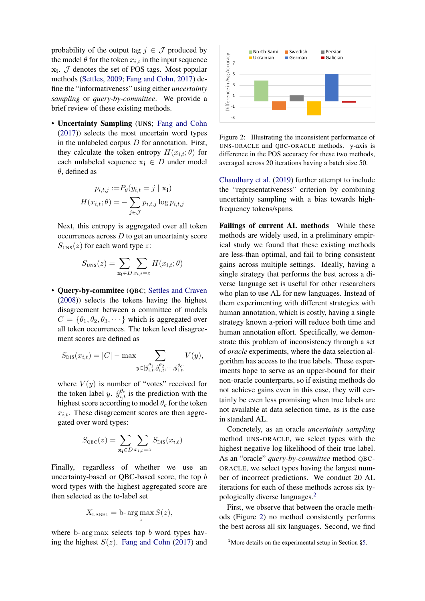probability of the output tag  $j \in \mathcal{J}$  produced by the model  $\theta$  for the token  $x_{i,t}$  in the input sequence  $x_i$ .  $J$  denotes the set of POS tags. Most popular methods [\(Settles,](#page-14-1) [2009;](#page-14-1) [Fang and Cohn,](#page-12-3) [2017\)](#page-12-3) define the "informativeness" using either *uncertainty sampling* or *query-by-committee*. We provide a brief review of these existing methods.

• Uncertainty Sampling (UNS; [Fang and Cohn](#page-12-3) [\(2017\)](#page-12-3)) selects the most uncertain word types in the unlabeled corpus  $D$  for annotation. First, they calculate the token entropy  $H(x_{i,t}; \theta)$  for each unlabeled sequence  $x_i \in D$  under model  $\theta$ , defined as

$$
p_{i,t,j} := P_{\theta}(y_{i,t} = j \mid \mathbf{x_i})
$$

$$
H(x_{i,t}; \theta) = -\sum_{j \in \mathcal{J}} p_{i,t,j} \log p_{i,t,j}
$$

Next, this entropy is aggregated over all token occurrences across  $D$  to get an uncertainty score  $S<sub>UNS</sub>(z)$  for each word type z:

$$
S_{\text{UNS}}(z) = \sum_{\mathbf{x_i} \in D} \sum_{x_{i,t} = z} H(x_{i,t}; \theta)
$$

• Query-by-commitee (QBC; [Settles and Craven](#page-14-2) [\(2008\)](#page-14-2)) selects the tokens having the highest disagreement between a committee of models  $C = \{\theta_1, \theta_2, \theta_3, \dots\}$  which is aggregated over all token occurrences. The token level disagreement scores are defined as

$$
S_{\text{DIS}}(x_{i,t}) = |C| - \max \sum_{y \in [\hat{y}_{i,t}^{\theta_1}, \hat{y}_{i,t}^{\theta_2}, \cdots, \hat{y}_{i,t}^{\theta_c}]} V(y),
$$

where  $V(y)$  is number of "votes" received for the token label y.  $\hat{y}_{i,t}^{\theta_c}$  is the prediction with the highest score according to model  $\theta_c$  for the token  $x_{i,t}$ . These disagreement scores are then aggregated over word types:

$$
S_{\rm QBC}(z) = \sum_{\mathbf{x_i} \in D} \sum_{x_{i,t} = z} S_{\rm DIS}(x_{i,t})
$$

Finally, regardless of whether we use an uncertainty-based or QBC-based score, the top b word types with the highest aggregated score are then selected as the to-label set

$$
X_{\text{LABEL}} = \text{b-arg}\max_{z} S(z),
$$

where b- arg max selects top  $b$  word types having the highest  $S(z)$ . [Fang and Cohn](#page-12-3) [\(2017\)](#page-12-3) and



<span id="page-2-1"></span>Figure 2: Illustrating the inconsistent performance of UNS-ORACLE and QBC-ORACLE methods. y-axis is difference in the POS accuracy for these two methods, averaged across 20 iterations having a batch size 50.

[Chaudhary et al.](#page-12-6) [\(2019\)](#page-12-6) further attempt to include the "representativeness" criterion by combining uncertainty sampling with a bias towards highfrequency tokens/spans.

Failings of current AL methods While these methods are widely used, in a preliminary empirical study we found that these existing methods are less-than optimal, and fail to bring consistent gains across multiple settings. Ideally, having a single strategy that performs the best across a diverse language set is useful for other researchers who plan to use AL for new languages. Instead of them experimenting with different strategies with human annotation, which is costly, having a single strategy known a-priori will reduce both time and human annotation effort. Specifically, we demonstrate this problem of inconsistency through a set of *oracle* experiments, where the data selection algorithm has access to the true labels. These experiments hope to serve as an upper-bound for their non-oracle counterparts, so if existing methods do not achieve gains even in this case, they will certainly be even less promising when true labels are not available at data selection time, as is the case in standard AL.

Concretely, as an oracle *uncertainty sampling* method UNS-ORACLE, we select types with the highest negative log likelihood of their true label. As an "oracle" *query-by-committee* method QBC-ORACLE, we select types having the largest number of incorrect predictions. We conduct 20 AL iterations for each of these methods across six typologically diverse languages.[2](#page-2-0)

First, we observe that between the oracle methods (Figure [2\)](#page-2-1) no method consistently performs the best across all six languages. Second, we find

<span id="page-2-0"></span><sup>&</sup>lt;sup>2</sup>More details on the experimental setup in Section  $\S$ 5.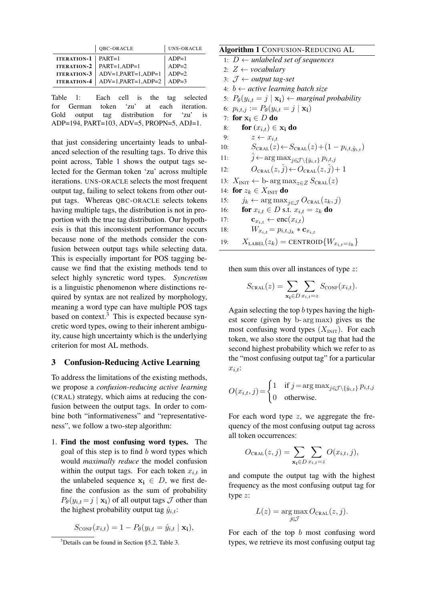|                             | QBC-ORACLE                                                                   | UNS-ORACLE |
|-----------------------------|------------------------------------------------------------------------------|------------|
| <b>ITERATION-1</b>   PART=1 |                                                                              | $ADP=1$    |
|                             | <b>ITERATION-2</b>   PART=1,ADP=1                                            | $ADP=2$    |
|                             |                                                                              |            |
|                             | ITERATION-3 ADV=1,PART=1,ADP=1 ADP=2<br>ITERATION-4 ADV=1,PART=1,ADP=2 ADP=3 |            |

<span id="page-3-0"></span>Table 1: Each cell is the tag selected for German token 'zu' at each iteration. Gold output tag distribution for 'zu' is ADP=194, PART=103, ADV=5, PROPN=5, ADJ=1.

that just considering uncertainty leads to unbalanced selection of the resulting tags. To drive this point across, Table [1](#page-3-0) shows the output tags selected for the German token 'zu' across multiple iterations. UNS-ORACLE selects the most frequent output tag, failing to select tokens from other output tags. Whereas QBC-ORACLE selects tokens having multiple tags, the distribution is not in proportion with the true tag distribution. Our hypothesis is that this inconsistent performance occurs because none of the methods consider the confusion between output tags while selecting data. This is especially important for POS tagging because we find that the existing methods tend to select highly syncretic word types. *Syncretism* is a linguistic phenomenon where distinctions required by syntax are not realized by morphology, meaning a word type can have multiple POS tags based on context. $3$  This is expected because syncretic word types, owing to their inherent ambiguity, cause high uncertainty which is the underlying criterion for most AL methods.

## <span id="page-3-3"></span>3 Confusion-Reducing Active Learning

To address the limitations of the existing methods, we propose a *confusion-reducing active learning* (CRAL) strategy, which aims at reducing the confusion between the output tags. In order to combine both "informativeness" and "representativeness", we follow a two-step algorithm:

1. Find the most confusing word types. The goal of this step is to find  $b$  word types which would *maximally reduce* the model confusion within the output tags. For each token  $x_{i,t}$  in the unlabeled sequence  $x_i \in D$ , we first define the confusion as the sum of probability  $P_{\theta}(y_{i,t} = j \mid \mathbf{x_i})$  of all output tags  $\mathcal J$  other than the highest probability output tag  $\hat{y}_{i,t}$ :

$$
S_{\text{CONF}}(x_{i,t}) = 1 - P_{\theta}(y_{i,t} = \hat{y}_{i,t} \mid \mathbf{x_i}),
$$

# <span id="page-3-2"></span>Algorithm 1 CONFUSION-REDUCING AL

- 1:  $D \leftarrow$  *unlabeled set of sequences* 2:  $Z \leftarrow \textit{vocabulary}$ 3: J ← *output tag-set* 4: b ← *active learning batch size* 5:  $P_{\theta}(y_{i,t} = j \mid \mathbf{x_i}) \leftarrow$  *marginal probability* 6:  $p_{i,t,j} := P_{\theta}(y_{i,t} = j | \mathbf{x_i})$ 7: for  $x_i \in D$  do
- 8: for  $(x_{i,t}) \in \mathbf{x_i}$  do
- 9:  $z \leftarrow x_{i,t}$ 10:  $S_{\text{CRAL}}(z) \leftarrow S_{\text{CRAL}}(z) + (1 - p_{i,t,\hat{y}_{i,t}})$
- 11:  $\hat{j} \leftarrow \arg \max_{j \in \mathcal{J} \setminus {\{\hat{y}_{i,t}\}}} p_{i,t,j}$
- 12:  $O_{\text{CRAL}}(z, \hat{j}) \leftarrow O_{\text{CRAL}}(z, \hat{j}) + 1$
- 13:  $X_{\text{INIT}} \leftarrow \text{b-arg max}_{z \in Z} S_{\text{CRAL}}(z)$
- 14: for  $z_k \in X_{\text{INIT}}$  do
- 15:  $j_k \leftarrow \arg \max_{j \in \mathcal{J}} O_{\text{CRAL}}(z_k, j)$
- 16: **for**  $x_{i,t} \in D$  s.t.  $x_{i,t} = z_k$  do
- 17:  $\mathbf{c}_{x_{i,t}} \leftarrow \text{enc}(x_{i,t})$
- 18:  $W_{x_{i,t}} = p_{i,t,j_k} * \mathbf{c}_{x_{i,t}}$
- 19:  $X_{\text{LABEL}}(z_k) = \text{CENTROID}\{W_{x_{i,t}=z_k}\}\$

then sum this over all instances of type  $z$ :

$$
S_{\text{CRAL}}(z) = \sum_{\mathbf{x_i} \in D} \sum_{x_{i,t} = z} S_{\text{CONF}}(x_{i,t}).
$$

Again selecting the top b types having the highest score (given by b- arg max) gives us the most confusing word types  $(X_{\text{INIT}})$ . For each token, we also store the output tag that had the second highest probability which we refer to as the "most confusing output tag" for a particular  $x_{i,t}$ :

$$
O(x_{i,t}, j) = \begin{cases} 1 & \text{if } j = \arg \max_{j \in \mathcal{J} \setminus \{\hat{y}_{i,t}\}} p_{i,t,j} \\ 0 & \text{otherwise.} \end{cases}
$$

For each word type  $z$ , we aggregate the frequency of the most confusing output tag across all token occurrences:

$$
O_{\text{CRAL}}(z,j) = \sum_{\mathbf{x_i} \in D} \sum_{x_{i,t} = z} O(x_{i,t}, j),
$$

and compute the output tag with the highest frequency as the most confusing output tag for type z:

$$
L(z) = \underset{j \in \mathcal{J}}{\arg \max} O_{\texttt{CRAL}}(z, j).
$$

For each of the top  $b$  most confusing word types, we retrieve its most confusing output tag

<span id="page-3-1"></span><sup>&</sup>lt;sup>3</sup>Details can be found in Section [§5.2,](#page-7-0) Table [3.](#page-7-1)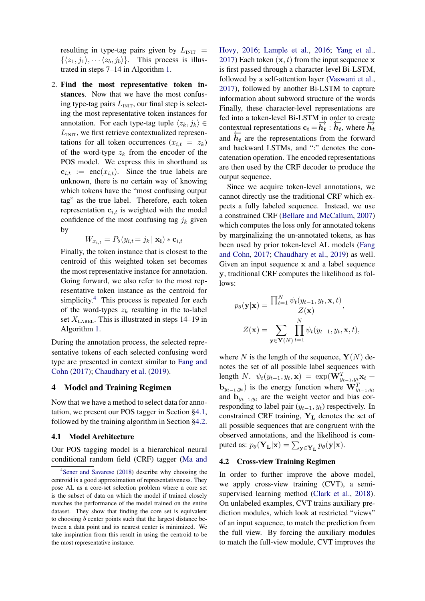resulting in type-tag pairs given by  $L_{\text{INIT}}$  =  $\{\langle z_1, j_1\rangle, \cdots \langle z_b, j_b\rangle\}.$  This process is illustrated in steps 7–14 in Algorithm [1.](#page-3-2)

2. Find the most representative token instances. Now that we have the most confusing type-tag pairs  $L_{\text{INIT}}$ , our final step is selecting the most representative token instances for annotation. For each type-tag tuple  $\langle z_k, j_k \rangle \in$  $L<sub>INIT</sub>$ , we first retrieve contextualized representations for all token occurrences  $(x_{i,t} = z_k)$ of the word-type  $z_k$  from the encoder of the POS model. We express this in shorthand as  $c_{i,t}$  := enc $(x_{i,t})$ . Since the true labels are unknown, there is no certain way of knowing which tokens have the "most confusing output tag" as the true label. Therefore, each token representation  $c_{i,t}$  is weighted with the model confidence of the most confusing tag  $j_k$  given by

$$
W_{x_{i,t}} = P_{\theta}(y_{i,t} = j_k | \mathbf{x_i}) * \mathbf{c}_{i,t}
$$

Finally, the token instance that is closest to the centroid of this weighted token set becomes the most representative instance for annotation. Going forward, we also refer to the most representative token instance as the centroid for simplicity.<sup>[4](#page-4-0)</sup> This process is repeated for each of the word-types  $z_k$  resulting in the to-label set  $X_{\text{LABEL}}$ . This is illustrated in steps 14–19 in Algorithm [1.](#page-3-2)

During the annotation process, the selected representative tokens of each selected confusing word type are presented in context similar to [Fang and](#page-12-3) [Cohn](#page-12-3) [\(2017\)](#page-12-3); [Chaudhary et al.](#page-12-6) [\(2019\)](#page-12-6).

#### 4 Model and Training Regimen

Now that we have a method to select data for annotation, we present our POS tagger in Section [§4.1,](#page-4-1) followed by the training algorithm in Section [§4.2.](#page-4-2)

#### <span id="page-4-1"></span>4.1 Model Architecture

Our POS tagging model is a hierarchical neural conditional random field (CRF) tagger [\(Ma and](#page-13-5) [Hovy,](#page-13-5) [2016;](#page-13-5) [Lample et al.,](#page-13-6) [2016;](#page-13-6) [Yang et al.,](#page-14-4) [2017\)](#page-14-4) Each token  $(x, t)$  from the input sequence x is first passed through a character-level Bi-LSTM, followed by a self-attention layer [\(Vaswani et al.,](#page-14-5) [2017\)](#page-14-5), followed by another Bi-LSTM to capture information about subword structure of the words Finally, these character-level representations are fed into a token-level Bi-LSTM in order to create contextual representations  $c_t = \overline{h}_t : \overline{h}_t$ , where  $\overline{h}_t$ and  $\overline{h}_t$  are the representations from the forward and backward LSTMs, and ":" denotes the concatenation operation. The encoded representations are then used by the CRF decoder to produce the output sequence.

Since we acquire token-level annotations, we cannot directly use the traditional CRF which expects a fully labeled sequence. Instead, we use a constrained CRF [\(Bellare and McCallum,](#page-12-7) [2007\)](#page-12-7) which computes the loss only for annotated tokens by marginalizing the un-annotated tokens, as has been used by prior token-level AL models [\(Fang](#page-12-3) [and Cohn,](#page-12-3) [2017;](#page-12-3) [Chaudhary et al.,](#page-12-6) [2019\)](#page-12-6) as well. Given an input sequence x and a label sequence y, traditional CRF computes the likelihood as follows:

$$
p_{\theta}(\mathbf{y}|\mathbf{x}) = \frac{\prod_{t=1}^{N} \psi_t(y_{t-1}, y_t, \mathbf{x}, t)}{Z(\mathbf{x})},
$$

$$
Z(\mathbf{x}) = \sum_{\mathbf{y} \in \mathbf{Y}(N)} \prod_{t=1}^{N} \psi_t(y_{t-1}, y_t, \mathbf{x}, t),
$$

where N is the length of the sequence,  $\mathbf{Y}(N)$  denotes the set of all possible label sequences with length N.  $\psi_t(y_{t-1}, y_t, \mathbf{x}) = \exp(\mathbf{W}_{y_{t-1}, y_t}^T \mathbf{x}_t +$  $\mathbf{b}_{y_{t-1},y_t}$ ) is the energy function where  $\mathbf{W}_{y_{t-1},y_t}^T$ and  $\mathbf{b}_{y_{t-1},y_t}$  are the weight vector and bias corresponding to label pair  $(y_{t-1}, y_t)$  respectively. In constrained CRF training,  $Y_L$  denotes the set of all possible sequences that are congruent with the observed annotations, and the likelihood is computed as:  $p_\theta(\mathbf{Y_L}|\mathbf{x}) = \sum_{\mathbf{y} \in \mathbf{Y_L}} p_\theta(\mathbf{y}|\mathbf{x}).$ 

## <span id="page-4-2"></span>4.2 Cross-view Training Regimen

In order to further improve the above model, we apply cross-view training (CVT), a semisupervised learning method [\(Clark et al.,](#page-12-5) [2018\)](#page-12-5). On unlabeled examples, CVT trains auxiliary prediction modules, which look at restricted "views" of an input sequence, to match the prediction from the full view. By forcing the auxiliary modules to match the full-view module, CVT improves the

<span id="page-4-0"></span><sup>4</sup> [Sener and Savarese](#page-14-3) [\(2018\) describe why choosing the](#page-13-5) [centroid is a good approximation of representativeness. They](#page-13-5) [pose AL as a core-set selection problem where a core set](#page-13-5) [is the subset of data on which the model if trained closely](#page-13-5) [matches the performance of the model trained on the entire](#page-13-5) [dataset. They show that finding the core set is equivalent](#page-13-5) to choosing b [center points such that the largest distance be](#page-13-5)[tween a data point and its nearest center is minimized. We](#page-13-5) [take inspiration from this result in using the centroid to be](#page-13-5) [the most representative instance.](#page-13-5)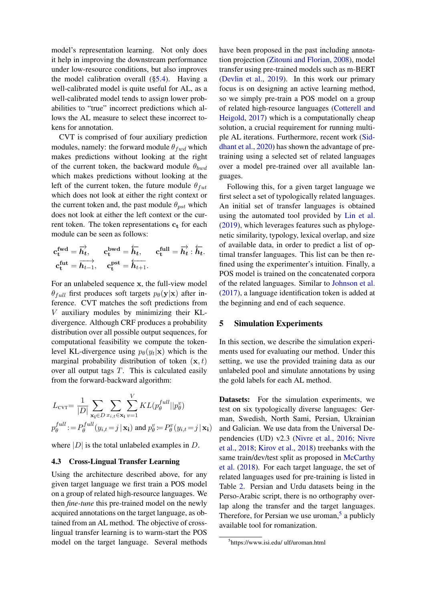model's representation learning. Not only does it help in improving the downstream performance under low-resource conditions, but also improves the model calibration overall ([§5.4\)](#page-9-0). Having a well-calibrated model is quite useful for AL, as a well-calibrated model tends to assign lower probabilities to "true" incorrect predictions which allows the AL measure to select these incorrect tokens for annotation.

CVT is comprised of four auxiliary prediction modules, namely: the forward module  $\theta_{fwd}$  which makes predictions without looking at the right of the current token, the backward module  $\theta_{bwd}$ which makes predictions without looking at the left of the current token, the future module  $\theta_{fut}$ which does not look at either the right context or the current token and, the past module  $\theta_{pst}$  which does not look at either the left context or the current token. The token representations  $c_t$  for each module can be seen as follows:

$$
\begin{aligned} \mathbf{c}_\mathbf{t}^\mathbf{fwd} &= \overrightarrow{\boldsymbol{h}_t}, & \mathbf{c}_\mathbf{t}^\mathbf{bwd} &= \overleftarrow{\boldsymbol{h}_t}, & \mathbf{c}_\mathbf{t}^\mathbf{full} &= \overrightarrow{\boldsymbol{h}_t} : \overleftarrow{\boldsymbol{h}_t}. \\ \mathbf{c}_\mathbf{t}^\mathbf{fut} &= \overrightarrow{\boldsymbol{h}_{t-1}}, & \mathbf{c}_\mathbf{t}^\mathbf{pst} &= \overleftarrow{\boldsymbol{h}_{t+1}}. \end{aligned}
$$

For an unlabeled sequence x, the full-view model  $\theta_{full}$  first produces soft targets  $p_{\theta}(\mathbf{y}|\mathbf{x})$  after inference. CVT matches the soft predictions from V auxiliary modules by minimizing their KLdivergence. Although CRF produces a probability distribution over all possible output sequences, for computational feasibility we compute the tokenlevel KL-divergence using  $p_{\theta}(y_t|\mathbf{x})$  which is the marginal probability distribution of token  $(x, t)$ over all output tags  $T$ . This is calculated easily from the forward-backward algorithm:

$$
L_{\text{cvT}} = \frac{1}{|D|} \sum_{\mathbf{x}_i \in D} \sum_{x_i, t \in \mathbf{x}_i} \sum_{v=1}^{V} KL(p_\theta^{full} || p_\theta^v)
$$
  

$$
p_\theta^{full} := P_\theta^{full}(y_{i,t} = j | \mathbf{x}_i) \text{ and } p_\theta^v = P_\theta^v(y_{i,t} = j | \mathbf{x}_i)
$$

where  $|D|$  is the total unlabeled examples in D.

### 4.3 Cross-Lingual Transfer Learning

Using the architecture described above, for any given target language we first train a POS model on a group of related high-resource languages. We then *fine-tune* this pre-trained model on the newly acquired annotations on the target language, as obtained from an AL method. The objective of crosslingual transfer learning is to warm-start the POS model on the target language. Several methods have been proposed in the past including annotation projection [\(Zitouni and Florian,](#page-14-6) [2008\)](#page-14-6), model transfer using pre-trained models such as m-BERT [\(Devlin et al.,](#page-12-8) [2019\)](#page-12-8). In this work our primary focus is on designing an active learning method, so we simply pre-train a POS model on a group of related high-resource languages [\(Cotterell and](#page-12-4) [Heigold,](#page-12-4) [2017\)](#page-12-4) which is a computationally cheap solution, a crucial requirement for running multiple AL iterations. Furthermore, recent work [\(Sid](#page-14-7)[dhant et al.,](#page-14-7) [2020\)](#page-14-7) has shown the advantage of pretraining using a selected set of related languages over a model pre-trained over all available languages.

Following this, for a given target language we first select a set of typologically related languages. An initial set of transfer languages is obtained using the automated tool provided by [Lin et al.](#page-13-7) [\(2019\)](#page-13-7), which leverages features such as phylogenetic similarity, typology, lexical overlap, and size of available data, in order to predict a list of optimal transfer languages. This list can be then refined using the experimenter's intuition. Finally, a POS model is trained on the concatenated corpora of the related languages. Similar to [Johnson et al.](#page-13-8) [\(2017\)](#page-13-8), a language identification token is added at the beginning and end of each sequence.

#### <span id="page-5-0"></span>5 Simulation Experiments

In this section, we describe the simulation experiments used for evaluating our method. Under this setting, we use the provided training data as our unlabeled pool and simulate annotations by using the gold labels for each AL method.

Datasets: For the simulation experiments, we test on six typologically diverse languages: German, Swedish, North Sami, Persian, Ukrainian and Galician. We use data from the Universal Dependencies (UD) v2.3 [\(Nivre et al.,](#page-14-8) [2016;](#page-14-8) [Nivre](#page-14-9) [et al.,](#page-14-9) [2018;](#page-14-9) [Kirov et al.,](#page-13-9) [2018\)](#page-13-9) treebanks with the same train/dev/test split as proposed in [McCarthy](#page-13-10) [et al.](#page-13-10) [\(2018\)](#page-13-10). For each target language, the set of related languages used for pre-training is listed in Table [2.](#page-6-0) Persian and Urdu datasets being in the Perso-Arabic script, there is no orthography overlap along the transfer and the target languages. Therefore, for Persian we use uroman,<sup>[5](#page-5-1)</sup> a publicly available tool for romanization.

<span id="page-5-1"></span><sup>5</sup> https://www.isi.edu/ ulf/uroman.html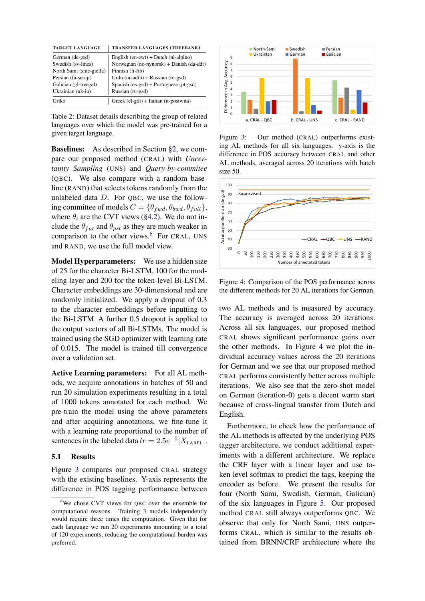| <b>TARGET LANGUAGE</b>  | TRANSFER LANGUAGES (TREEBANK)                    |
|-------------------------|--------------------------------------------------|
| German (de-gsd)         | English $(en$ -ewt $)$ + Dutch $(n!$ -alpino $)$ |
| Swedish (sv-lines)      | Norwegian (no-nynorsk) + Danish (da-ddt)         |
| North Sami (sme-giella) | Finnish (fi-ftb)                                 |
| Persian (fa-seraji)     | Urdu (ur-udtb) + Russian (ru-gsd)                |
| Galician (gl-treegal)   | Spanish $(es-gsd) + Portuguese (pt-gsd)$         |
| Ukrainian (uk-iu)       | Russian (ru-gsd)                                 |
| Griko                   | Greek (el-gdt) + Italian (it-postwita)           |

<span id="page-6-0"></span>Table 2: Dataset details describing the group of related languages over which the model was pre-trained for a given target language.

Baselines: As described in Section [§2,](#page-1-1) we compare our proposed method (CRAL) with *Uncertainty Sampling* (UNS) and *Query-by-commitee* (QBC). We also compare with a random baseline (RAND) that selects tokens randomly from the unlabeled data  $D$ . For QBC, we use the following committee of models  $C = \{\theta_{fwd}, \theta_{bwd}, \theta_{full}\},\$ where  $\theta_i$  are the CVT views ([§4.2\)](#page-4-2). We do not include the  $\theta_{fut}$  and  $\theta_{pst}$  as they are much weaker in comparison to the other views.<sup>[6](#page-6-1)</sup> For CRAL, UNS and RAND, we use the full model view.

Model Hyperparameters: We use a hidden size of 25 for the character Bi-LSTM, 100 for the modeling layer and 200 for the token-level Bi-LSTM. Character embeddings are 30-dimensional and are randomly initialized. We apply a dropout of 0.3 to the character embeddings before inputting to the Bi-LSTM. A further 0.5 dropout is applied to the output vectors of all Bi-LSTMs. The model is trained using the SGD optimizer with learning rate of 0.015. The model is trained till convergence over a validation set.

Active Learning parameters: For all AL methods, we acquire annotations in batches of 50 and run 20 simulation experiments resulting in a total of 1000 tokens annotated for each method. We pre-train the model using the above parameters and after acquiring annotations, we fine-tune it with a learning rate proportional to the number of sentences in the labeled data  $lr = 2.5e^{-5} | X_{\text{LABEL}} |$ .

#### 5.1 Results

Figure [3](#page-6-2) compares our proposed CRAL strategy with the existing baselines. Y-axis represents the difference in POS tagging performance between



<span id="page-6-2"></span>Figure 3: Our method (CRAL) outperforms existing AL methods for all six languages. y-axis is the difference in POS accuracy between CRAL and other AL methods, averaged across 20 iterations with batch size 50.



<span id="page-6-3"></span>Figure 4: Comparison of the POS performance across the different methods for 20 AL iterations for German.

two AL methods and is measured by accuracy. The accuracy is averaged across 20 iterations. Across all six languages, our proposed method CRAL shows significant performance gains over the other methods. In Figure [4](#page-6-3) we plot the individual accuracy values across the 20 iterations for German and we see that our proposed method CRAL performs consistently better across multiple iterations. We also see that the zero-shot model on German (iteration-0) gets a decent warm start because of cross-lingual transfer from Dutch and English.

Furthermore, to check how the performance of the AL methods is affected by the underlying POS tagger architecture, we conduct additional experiments with a different architecture. We replace the CRF layer with a linear layer and use token level softmax to predict the tags, keeping the encoder as before. We present the results for four (North Sami, Swedish, German, Galician) of the six languages in Figure [5.](#page-7-2) Our proposed method CRAL still always outperforms QBC. We observe that only for North Sami, UNS outperforms CRAL, which is similar to the results obtained from BRNN/CRF architecture where the

<span id="page-6-1"></span><sup>6</sup>We chose CVT views for QBC over the ensemble for computational reasons. Training 3 models independently would require three times the computation. Given that for each language we run 20 experiments amounting to a total of 120 experiments, reducing the computational burden was preferred.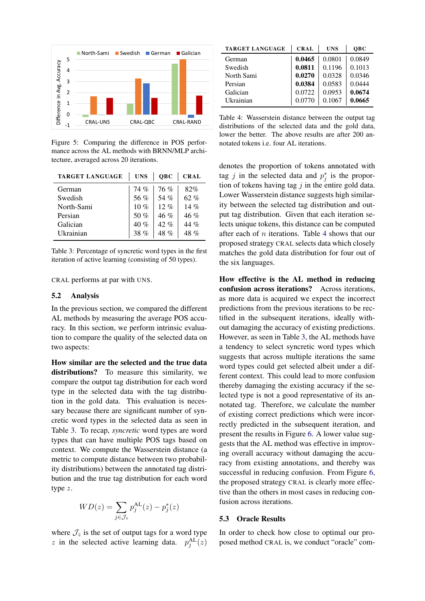

<span id="page-7-2"></span>Figure 5: Comparing the difference in POS performance across the AL methods with BRNN/MLP architecture, averaged across 20 iterations.

| <b>TARGET LANGUAGE</b> | <b>UNS</b> | QBC    | <b>CRAL</b> |
|------------------------|------------|--------|-------------|
| German                 | 74%        | 76%    | 82%         |
| Swedish                | 56 %       | 54 %   | 62 %        |
| North-Sami             | 10 $%$     | $12\%$ | 14%         |
| Persian                | 50 $%$     | 46%    | $46\%$      |
| Galician               | 40%        | 42%    | 44 $\%$     |
| <b>Ukrainian</b>       | 38 $%$     | 48 %   | 48%         |

<span id="page-7-1"></span>Table 3: Percentage of syncretic word types in the first iteration of active learning (consisting of 50 types).

CRAL performs at par with UNS.

#### <span id="page-7-0"></span>5.2 Analysis

In the previous section, we compared the different AL methods by measuring the average POS accuracy. In this section, we perform intrinsic evaluation to compare the quality of the selected data on two aspects:

How similar are the selected and the true data distributions? To measure this similarity, we compare the output tag distribution for each word type in the selected data with the tag distribution in the gold data. This evaluation is necessary because there are significant number of syncretic word types in the selected data as seen in Table [3.](#page-7-1) To recap, *syncretic* word types are word types that can have multiple POS tags based on context. We compute the Wasserstein distance (a metric to compute distance between two probability distributions) between the annotated tag distribution and the true tag distribution for each word type z.

$$
WD(z) = \sum_{j \in \mathcal{J}_z} p_j^{\text{AL}}(z) - p_j^*(z)
$$

where  $\mathcal{J}_z$  is the set of output tags for a word type z in the selected active learning data.  $p_j^{\text{AL}}(z)$ 

| <b>TARGET LANGUAGE</b> | <b>CRAL</b> | <b>UNS</b> | <b>OBC</b> |
|------------------------|-------------|------------|------------|
| German                 | 0.0465      | 0.0801     | 0.0849     |
| Swedish                | 0.0811      | 0.1196     | 0.1013     |
| North Sami             | 0.0270      | 0.0328     | 0.0346     |
| Persian                | 0.0384      | 0.0583     | 0.0444     |
| Galician               | 0.0722      | 0.0953     | 0.0674     |
| Ukrainian              | 0.0770      | 0.1067     | 0.0665     |

<span id="page-7-3"></span>Table 4: Wasserstein distance between the output tag distributions of the selected data and the gold data, lower the better. The above results are after 200 annotated tokens i.e. four AL iterations.

denotes the proportion of tokens annotated with tag j in the selected data and  $p_j^*$  is the proportion of tokens having tag  $j$  in the entire gold data. Lower Wasserstein distance suggests high similarity between the selected tag distribution and output tag distribution. Given that each iteration selects unique tokens, this distance can be computed after each of  $n$  iterations. Table [4](#page-7-3) shows that our proposed strategy CRAL selects data which closely matches the gold data distribution for four out of the six languages.

How effective is the AL method in reducing confusion across iterations? Across iterations, as more data is acquired we expect the incorrect predictions from the previous iterations to be rectified in the subsequent iterations, ideally without damaging the accuracy of existing predictions. However, as seen in Table [3,](#page-7-1) the AL methods have a tendency to select syncretic word types which suggests that across multiple iterations the same word types could get selected albeit under a different context. This could lead to more confusion thereby damaging the existing accuracy if the selected type is not a good representative of its annotated tag. Therefore, we calculate the number of existing correct predictions which were incorrectly predicted in the subsequent iteration, and present the results in Figure [6.](#page-8-0) A lower value suggests that the AL method was effective in improving overall accuracy without damaging the accuracy from existing annotations, and thereby was successful in reducing confusion. From Figure [6,](#page-8-0) the proposed strategy CRAL is clearly more effective than the others in most cases in reducing confusion across iterations.

### 5.3 Oracle Results

In order to check how close to optimal our proposed method CRAL is, we conduct "oracle" com-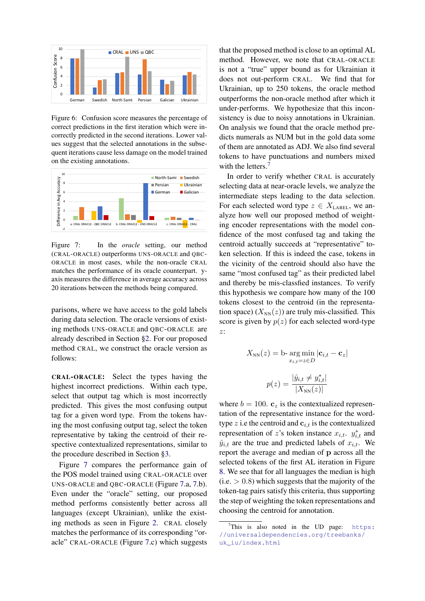

<span id="page-8-0"></span>Figure 6: Confusion score measures the percentage of correct predictions in the first iteration which were incorrectly predicted in the second iterations. Lower values suggest that the selected annotations in the subsequent iterations cause less damage on the model trained on the existing annotations.



<span id="page-8-1"></span>Figure 7: In the *oracle* setting, our method (CRAL-ORACLE) outperforms UNS-ORACLE and QBC-ORACLE in most cases, while the non-oracle CRAL matches the performance of its oracle counterpart. yaxis measures the difference in average accuracy across 20 iterations between the methods being compared.

parisons, where we have access to the gold labels during data selection. The oracle versions of existing methods UNS-ORACLE and QBC-ORACLE are already described in Section [§2.](#page-1-1) For our proposed method CRAL, we construct the oracle version as follows:

CRAL-ORACLE: Select the types having the highest incorrect predictions. Within each type, select that output tag which is most incorrectly predicted. This gives the most confusing output tag for a given word type. From the tokens having the most confusing output tag, select the token representative by taking the centroid of their respective contextualized representations, similar to the procedure described in Section [§3.](#page-3-3)

Figure [7](#page-8-1) compares the performance gain of the POS model trained using CRAL-ORACLE over UNS-ORACLE and QBC-ORACLE (Figure [7.](#page-8-1)a, [7.](#page-8-1)b). Even under the "oracle" setting, our proposed method performs consistently better across all languages (except Ukrainian), unlike the existing methods as seen in Figure [2.](#page-2-1) CRAL closely matches the performance of its corresponding "oracle" CRAL-ORACLE (Figure [7.](#page-8-1)c) which suggests that the proposed method is close to an optimal AL method. However, we note that CRAL-ORACLE is not a "true" upper bound as for Ukrainian it does not out-perform CRAL. We find that for Ukrainian, up to 250 tokens, the oracle method outperforms the non-oracle method after which it under-performs. We hypothesize that this inconsistency is due to noisy annotations in Ukrainian. On analysis we found that the oracle method predicts numerals as NUM but in the gold data some of them are annotated as ADJ. We also find several tokens to have punctuations and numbers mixed with the letters.<sup>[7](#page-8-2)</sup>

In order to verify whether CRAL is accurately selecting data at near-oracle levels, we analyze the intermediate steps leading to the data selection. For each selected word type  $z \in X_{\text{LABEL}}$ , we analyze how well our proposed method of weighting encoder representations with the model confidence of the most confused tag and taking the centroid actually succeeds at "representative" token selection. If this is indeed the case, tokens in the vicinity of the centroid should also have the same "most confused tag" as their predicted label and thereby be mis-classfied instances. To verify this hypothesis we compare how many of the 100 tokens closest to the centroid (in the representation space)  $(X_{NN}(z))$  are truly mis-classified. This score is given by  $p(z)$  for each selected word-type z:

$$
X_{\text{NN}}(z) = \text{b-} \underset{x_{i,t} = z \in D}{\text{arg min}} |\mathbf{c}_{i,t} - \mathbf{c}_z|
$$

$$
p(z) = \frac{|\hat{y}_{i,t} \neq y_{i,t}^*|}{|X_{\text{NN}}(z)|}
$$

where  $b = 100$ .  $\mathbf{c}_z$  is the contextualized representation of the representative instance for the wordtype z i.e the centroid and  $c_{i,t}$  is the contextualized representation of z's token instance  $x_{i,t}$ .  $y_{i,t}^*$  and  $\hat{y}_{i,t}$  are the true and predicted labels of  $x_{i,t}$ . We report the average and median of p across all the selected tokens of the first AL iteration in Figure [8.](#page-9-1) We see that for all languages the median is high  $(i.e. > 0.8)$  which suggests that the majority of the token-tag pairs satisfy this criteria, thus supporting the step of weighting the token representations and choosing the centroid for annotation.

<span id="page-8-2"></span>This is also noted in the UD page:  $https:$ [//universaldependencies.org/treebanks/](https://universaldependencies.org/treebanks/uk_iu/index.html) [uk\\_iu/index.html](https://universaldependencies.org/treebanks/uk_iu/index.html)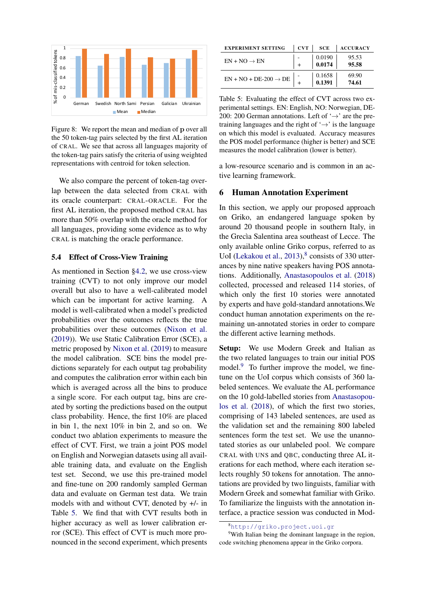

<span id="page-9-1"></span>Figure 8: We report the mean and median of p over all the 50 token-tag pairs selected by the first AL iteration of CRAL. We see that across all languages majority of the token-tag pairs satisfy the criteria of using weighted representations with centroid for token selection.

We also compare the percent of token-tag overlap between the data selected from CRAL with its oracle counterpart: CRAL-ORACLE. For the first AL iteration, the proposed method CRAL has more than 50% overlap with the oracle method for all languages, providing some evidence as to why CRAL is matching the oracle performance.

#### <span id="page-9-0"></span>5.4 Effect of Cross-View Training

As mentioned in Section [§4.2,](#page-4-2) we use cross-view training (CVT) to not only improve our model overall but also to have a well-calibrated model which can be important for active learning. A model is well-calibrated when a model's predicted probabilities over the outcomes reflects the true probabilities over these outcomes [\(Nixon et al.](#page-14-10) [\(2019\)](#page-14-10)). We use Static Calibration Error (SCE), a metric proposed by [Nixon et al.](#page-14-10) [\(2019\)](#page-14-10) to measure the model calibration. SCE bins the model predictions separately for each output tag probability and computes the calibration error within each bin which is averaged across all the bins to produce a single score. For each output tag, bins are created by sorting the predictions based on the output class probability. Hence, the first 10% are placed in bin 1, the next 10% in bin 2, and so on. We conduct two ablation experiments to measure the effect of CVT. First, we train a joint POS model on English and Norwegian datasets using all available training data, and evaluate on the English test set. Second, we use this pre-trained model and fine-tune on 200 randomly sampled German data and evaluate on German test data. We train models with and without CVT, denoted by +/- in Table [5.](#page-9-2) We find that with CVT results both in higher accuracy as well as lower calibration error (SCE). This effect of CVT is much more pronounced in the second experiment, which presents

| <b>EXPERIMENT SETTING</b>         | <b>CVT</b> | <b>SCE</b> | <b>ACCURACY</b> |
|-----------------------------------|------------|------------|-----------------|
| $EN + NO \rightarrow EN$          |            | 0.0190     | 95.53           |
|                                   |            | 0.0174     | 95.58           |
| $EN + NO + DE-200 \rightarrow DE$ |            | 0.1658     | 69.90           |
|                                   |            | 0.1391     | 74.61           |

<span id="page-9-2"></span>Table 5: Evaluating the effect of CVT across two experimental settings. EN: English, NO: Norwegian, DE-200: 200 German annotations. Left of  $\rightarrow$  are the pretraining languages and the right of  $\rightarrow$  is the language on which this model is evaluated. Accuracy measures the POS model performance (higher is better) and SCE measures the model calibration (lower is better).

a low-resource scenario and is common in an active learning framework.

### 6 Human Annotation Experiment

In this section, we apply our proposed approach on Griko, an endangered language spoken by around 20 thousand people in southern Italy, in the Grecìa Salentina area southeast of Lecce. The only available online Griko corpus, referred to as UoI [\(Lekakou et al.,](#page-13-11)  $2013$ ), $8$  consists of 330 utterances by nine native speakers having POS annotations. Additionally, [Anastasopoulos et al.](#page-12-1) [\(2018\)](#page-12-1) collected, processed and released 114 stories, of which only the first 10 stories were annotated by experts and have gold-standard annotations.We conduct human annotation experiments on the remaining un-annotated stories in order to compare the different active learning methods.

Setup: We use Modern Greek and Italian as the two related languages to train our initial POS model.<sup>[9](#page-9-4)</sup> To further improve the model, we finetune on the UoI corpus which consists of 360 labeled sentences. We evaluate the AL performance on the 10 gold-labelled stories from [Anastasopou](#page-12-1)[los et al.](#page-12-1) [\(2018\)](#page-12-1), of which the first two stories, comprising of 143 labeled sentences, are used as the validation set and the remaining 800 labeled sentences form the test set. We use the unannotated stories as our unlabeled pool. We compare CRAL with UNS and QBC, conducting three AL iterations for each method, where each iteration selects roughly 50 tokens for annotation. The annotations are provided by two linguists, familiar with Modern Greek and somewhat familiar with Griko. To familiarize the linguists with the annotation interface, a practice session was conducted in Mod-

<sup>9</sup>With Italian being the dominant language in the region, code switching phenomena appear in the Griko corpora.

<span id="page-9-4"></span><span id="page-9-3"></span><sup>8</sup><http://griko.project.uoi.gr>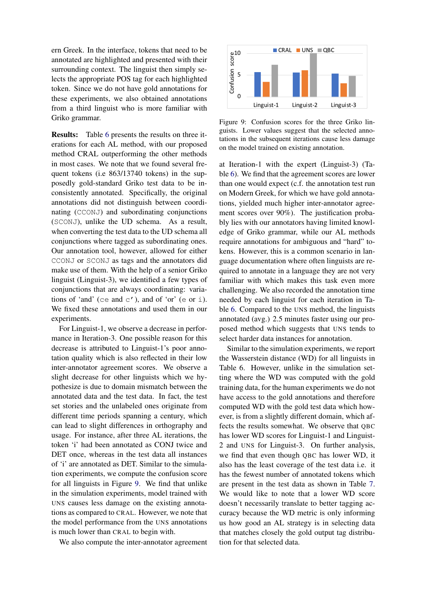ern Greek. In the interface, tokens that need to be annotated are highlighted and presented with their surrounding context. The linguist then simply selects the appropriate POS tag for each highlighted token. Since we do not have gold annotations for these experiments, we also obtained annotations from a third linguist who is more familiar with Griko grammar.

Results: Table [6](#page-11-0) presents the results on three iterations for each AL method, with our proposed method CRAL outperforming the other methods in most cases. We note that we found several frequent tokens (i.e 863/13740 tokens) in the supposedly gold-standard Griko test data to be inconsistently annotated. Specifically, the original annotations did not distinguish between coordinating (CCONJ) and subordinating conjunctions (SCONJ), unlike the UD schema. As a result, when converting the test data to the UD schema all conjunctions where tagged as subordinating ones. Our annotation tool, however, allowed for either CCONJ or SCONJ as tags and the annotators did make use of them. With the help of a senior Griko linguist (Linguist-3), we identified a few types of conjunctions that are always coordinating: variations of 'and' (ce and  $c'$ ), and of 'or' (e or i). We fixed these annotations and used them in our experiments.

For Linguist-1, we observe a decrease in performance in Iteration-3. One possible reason for this decrease is attributed to Linguist-1's poor annotation quality which is also reflected in their low inter-annotator agreement scores. We observe a slight decrease for other linguists which we hypothesize is due to domain mismatch between the annotated data and the test data. In fact, the test set stories and the unlabeled ones originate from different time periods spanning a century, which can lead to slight differences in orthography and usage. For instance, after three AL iterations, the token 'i' had been annotated as CONJ twice and DET once, whereas in the test data all instances of 'i' are annotated as DET. Similar to the simulation experiments, we compute the confusion score for all linguists in Figure [9.](#page-10-0) We find that unlike in the simulation experiments, model trained with UNS causes less damage on the existing annotations as compared to CRAL. However, we note that the model performance from the UNS annotations is much lower than CRAL to begin with.

We also compute the inter-annotator agreement



<span id="page-10-0"></span>Figure 9: Confusion scores for the three Griko linguists. Lower values suggest that the selected annotations in the subsequent iterations cause less damage on the model trained on existing annotation.

at Iteration-1 with the expert (Linguist-3) (Table [6\)](#page-11-0). We find that the agreement scores are lower than one would expect (c.f. the annotation test run on Modern Greek, for which we have gold annotations, yielded much higher inter-annotator agreement scores over 90%). The justification probably lies with our annotators having limited knowledge of Griko grammar, while our AL methods require annotations for ambiguous and "hard" tokens. However, this is a common scenario in language documentation where often linguists are required to annotate in a language they are not very familiar with which makes this task even more challenging. We also recorded the annotation time needed by each linguist for each iteration in Table [6.](#page-11-0) Compared to the UNS method, the linguists annotated (avg.) 2.5 minutes faster using our proposed method which suggests that UNS tends to select harder data instances for annotation.

Similar to the simulation experiments, we report the Wasserstein distance (WD) for all linguists in Table 6. However, unlike in the simulation setting where the WD was computed with the gold training data, for the human experiments we do not have access to the gold annotations and therefore computed WD with the gold test data which however, is from a slightly different domain, which affects the results somewhat. We observe that QBC has lower WD scores for Linguist-1 and Linguist-2 and UNS for Linguist-3. On further analysis, we find that even though QBC has lower WD, it also has the least coverage of the test data i.e. it has the fewest number of annotated tokens which are present in the test data as shown in Table [7.](#page-11-1) We would like to note that a lower WD score doesn't necessarily translate to better tagging accuracy because the WD metric is only informing us how good an AL strategy is in selecting data that matches closely the gold output tag distribution for that selected data.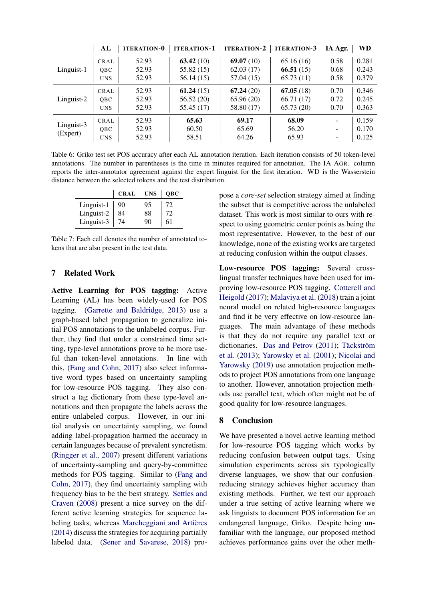|            | AL         | <b>ITERATION-0</b> | <b>ITERATION-1</b> | <b>ITERATION-2</b> | <b>ITERATION-3</b> | IA Agr. | <b>WD</b> |
|------------|------------|--------------------|--------------------|--------------------|--------------------|---------|-----------|
|            | CRAL       | 52.93              | 63.42(10)          | 69.07(10)          | 65.16(16)          | 0.58    | 0.281     |
| Linguist-1 | OBC        | 52.93              | 55.82(15)          | 62.03(17)          | 66.51(15)          | 0.68    | 0.243     |
|            | <b>UNS</b> | 52.93              | 56.14 (15)         | 57.04 (15)         | 65.73(11)          | 0.58    | 0.379     |
|            | CRAL       | 52.93              | 61.24(15)          | 67.24(20)          | 67.05(18)          | 0.70    | 0.346     |
| Linguist-2 | <b>OBC</b> | 52.93              | 56.52(20)          | 65.96(20)          | 66.71(17)          | 0.72    | 0.245     |
|            | <b>UNS</b> | 52.93              | 55.45 (17)         | 58.80 (17)         | 65.73(20)          | 0.70    | 0.363     |
| Linguist-3 | CRAL       | 52.93              | 65.63              | 69.17              | 68.09              |         | 0.159     |
|            | QBC        | 52.93              | 60.50              | 65.69              | 56.20              | -       | 0.170     |
| (Expert)   | <b>UNS</b> | 52.93              | 58.51              | 64.26              | 65.93              |         | 0.125     |

<span id="page-11-0"></span>Table 6: Griko test set POS accuracy after each AL annotation iteration. Each iteration consists of 50 token-level annotations. The number in parentheses is the time in minutes required for annotation. The IA AGR. column reports the inter-annotator agreement against the expert linguist for the first iteration. WD is the Wasserstein distance between the selected tokens and the test distribution.

|            | <b>CRAL</b> | <b>UNS</b> | <b>OBC</b> |
|------------|-------------|------------|------------|
| Linguist-1 | 90          | 95         | 72         |
| Linguist-2 | 84          | 88         | 72         |
| Linguist-3 | 74          | 90         | 61         |

<span id="page-11-1"></span>Table 7: Each cell denotes the number of annotated tokens that are also present in the test data.

## 7 Related Work

Active Learning for POS tagging: Active Learning (AL) has been widely-used for POS tagging. [\(Garrette and Baldridge,](#page-13-12) [2013\)](#page-13-12) use a graph-based label propagation to generalize initial POS annotations to the unlabeled corpus. Further, they find that under a constrained time setting, type-level annotations prove to be more useful than token-level annotations. In line with this, [\(Fang and Cohn,](#page-12-3) [2017\)](#page-12-3) also select informative word types based on uncertainty sampling for low-resource POS tagging. They also construct a tag dictionary from these type-level annotations and then propagate the labels across the entire unlabeled corpus. However, in our initial analysis on uncertainty sampling, we found adding label-propagation harmed the accuracy in certain languages because of prevalent syncretism. [\(Ringger et al.,](#page-14-11) [2007\)](#page-14-11) present different variations of uncertainty-sampling and query-by-committee methods for POS tagging. Similar to [\(Fang and](#page-12-3) [Cohn,](#page-12-3) [2017\)](#page-12-3), they find uncertainty sampling with frequency bias to be the best strategy. [Settles and](#page-14-2) [Craven](#page-14-2) [\(2008\)](#page-14-2) present a nice survey on the different active learning strategies for sequence labeling tasks, whereas [Marcheggiani and Artières](#page-13-3) [\(2014\)](#page-13-3) discuss the strategies for acquiring partially labeled data. [\(Sener and Savarese,](#page-14-3) [2018\)](#page-14-3) propose a *core-set* selection strategy aimed at finding the subset that is competitive across the unlabeled dataset. This work is most similar to ours with respect to using geometric center points as being the most representative. However, to the best of our knowledge, none of the existing works are targeted at reducing confusion within the output classes.

Low-resource POS tagging: Several crosslingual transfer techniques have been used for improving low-resource POS tagging. [Cotterell and](#page-12-4) [Heigold](#page-12-4) [\(2017\)](#page-12-4); [Malaviya et al.](#page-13-13) [\(2018\)](#page-13-13) train a joint neural model on related high-resource languages and find it be very effective on low-resource languages. The main advantage of these methods is that they do not require any parallel text or dictionaries. [Das and Petrov](#page-12-9) [\(2011\)](#page-12-9); [Täckström](#page-14-12) [et al.](#page-14-12) [\(2013\)](#page-14-12); [Yarowsky et al.](#page-14-13) [\(2001\)](#page-14-13); [Nicolai and](#page-14-14) [Yarowsky](#page-14-14) [\(2019\)](#page-14-14) use annotation projection methods to project POS annotations from one language to another. However, annotation projection methods use parallel text, which often might not be of good quality for low-resource languages.

### 8 Conclusion

We have presented a novel active learning method for low-resource POS tagging which works by reducing confusion between output tags. Using simulation experiments across six typologically diverse languages, we show that our confusionreducing strategy achieves higher accuracy than existing methods. Further, we test our approach under a true setting of active learning where we ask linguists to document POS information for an endangered language, Griko. Despite being unfamiliar with the language, our proposed method achieves performance gains over the other meth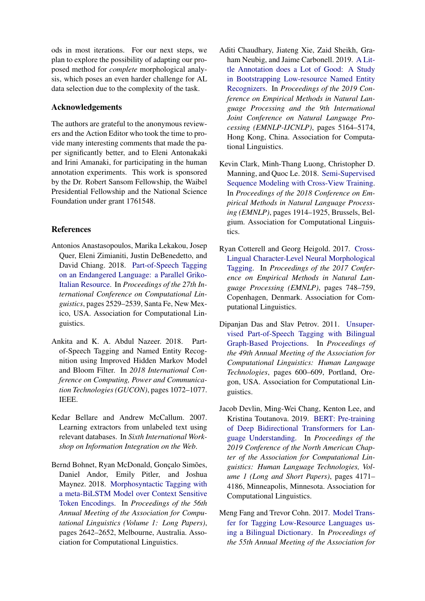ods in most iterations. For our next steps, we plan to explore the possibility of adapting our proposed method for *complete* morphological analysis, which poses an even harder challenge for AL data selection due to the complexity of the task.

# Acknowledgements

The authors are grateful to the anonymous reviewers and the Action Editor who took the time to provide many interesting comments that made the paper significantly better, and to Eleni Antonakaki and Irini Amanaki, for participating in the human annotation experiments. This work is sponsored by the Dr. Robert Sansom Fellowship, the Waibel Presidential Fellowship and the National Science Foundation under grant 1761548.

# References

- <span id="page-12-1"></span>Antonios Anastasopoulos, Marika Lekakou, Josep Quer, Eleni Zimianiti, Justin DeBenedetto, and David Chiang. 2018. [Part-of-Speech Tagging](https://www.aclweb.org/anthology/C18-1214) [on an Endangered Language: a Parallel Griko-](https://www.aclweb.org/anthology/C18-1214)[Italian Resource.](https://www.aclweb.org/anthology/C18-1214) In *Proceedings of the 27th International Conference on Computational Linguistics*, pages 2529–2539, Santa Fe, New Mexico, USA. Association for Computational Linguistics.
- <span id="page-12-0"></span>Ankita and K. A. Abdul Nazeer. 2018. Partof-Speech Tagging and Named Entity Recognition using Improved Hidden Markov Model and Bloom Filter. In *2018 International Conference on Computing, Power and Communication Technologies (GUCON)*, pages 1072–1077. IEEE.
- <span id="page-12-7"></span>Kedar Bellare and Andrew McCallum. 2007. Learning extractors from unlabeled text using relevant databases. In *Sixth International Workshop on Information Integration on the Web*.
- <span id="page-12-2"></span>Bernd Bohnet, Ryan McDonald, Gonçalo Simões, Daniel Andor, Emily Pitler, and Joshua Maynez. 2018. [Morphosyntactic Tagging with](https://doi.org/10.18653/v1/P18-1246) [a meta-BiLSTM Model over Context Sensitive](https://doi.org/10.18653/v1/P18-1246) [Token Encodings.](https://doi.org/10.18653/v1/P18-1246) In *Proceedings of the 56th Annual Meeting of the Association for Computational Linguistics (Volume 1: Long Papers)*, pages 2642–2652, Melbourne, Australia. Association for Computational Linguistics.
- <span id="page-12-6"></span>Aditi Chaudhary, Jiateng Xie, Zaid Sheikh, Graham Neubig, and Jaime Carbonell. 2019. [A Lit](https://doi.org/10.18653/v1/D19-1520)[tle Annotation does a Lot of Good: A Study](https://doi.org/10.18653/v1/D19-1520) [in Bootstrapping Low-resource Named Entity](https://doi.org/10.18653/v1/D19-1520) [Recognizers.](https://doi.org/10.18653/v1/D19-1520) In *Proceedings of the 2019 Conference on Empirical Methods in Natural Language Processing and the 9th International Joint Conference on Natural Language Processing (EMNLP-IJCNLP)*, pages 5164–5174, Hong Kong, China. Association for Computational Linguistics.
- <span id="page-12-5"></span>Kevin Clark, Minh-Thang Luong, Christopher D. Manning, and Quoc Le. 2018. [Semi-Supervised](https://doi.org/10.18653/v1/D18-1217) [Sequence Modeling with Cross-View Training.](https://doi.org/10.18653/v1/D18-1217) In *Proceedings of the 2018 Conference on Empirical Methods in Natural Language Processing (EMNLP)*, pages 1914–1925, Brussels, Belgium. Association for Computational Linguistics.
- <span id="page-12-4"></span>Ryan Cotterell and Georg Heigold. 2017. [Cross-](https://doi.org/10.18653/v1/D17-1078)[Lingual Character-Level Neural Morphological](https://doi.org/10.18653/v1/D17-1078) [Tagging.](https://doi.org/10.18653/v1/D17-1078) In *Proceedings of the 2017 Conference on Empirical Methods in Natural Language Processing (EMNLP)*, pages 748–759, Copenhagen, Denmark. Association for Computational Linguistics.
- <span id="page-12-9"></span>Dipanjan Das and Slav Petrov. 2011. [Unsuper](https://www.aclweb.org/anthology/P11-1061)[vised Part-of-Speech Tagging with Bilingual](https://www.aclweb.org/anthology/P11-1061) [Graph-Based Projections.](https://www.aclweb.org/anthology/P11-1061) In *Proceedings of the 49th Annual Meeting of the Association for Computational Linguistics: Human Language Technologies*, pages 600–609, Portland, Oregon, USA. Association for Computational Linguistics.
- <span id="page-12-8"></span>Jacob Devlin, Ming-Wei Chang, Kenton Lee, and Kristina Toutanova. 2019. [BERT: Pre-training](https://doi.org/10.18653/v1/N19-1423) [of Deep Bidirectional Transformers for Lan](https://doi.org/10.18653/v1/N19-1423)[guage Understanding.](https://doi.org/10.18653/v1/N19-1423) In *Proceedings of the 2019 Conference of the North American Chapter of the Association for Computational Linguistics: Human Language Technologies, Volume 1 (Long and Short Papers)*, pages 4171– 4186, Minneapolis, Minnesota. Association for Computational Linguistics.
- <span id="page-12-3"></span>Meng Fang and Trevor Cohn. 2017. [Model Trans](https://doi.org/10.18653/v1/P17-2093)[fer for Tagging Low-Resource Languages us](https://doi.org/10.18653/v1/P17-2093)[ing a Bilingual Dictionary.](https://doi.org/10.18653/v1/P17-2093) In *Proceedings of the 55th Annual Meeting of the Association for*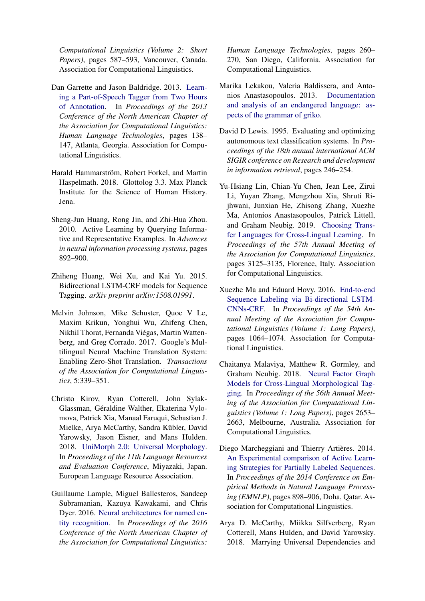*Computational Linguistics (Volume 2: Short Papers)*, pages 587–593, Vancouver, Canada. Association for Computational Linguistics.

- <span id="page-13-12"></span>Dan Garrette and Jason Baldridge. 2013. [Learn](http://www.aclweb.org/anthology/N13-1014)[ing a Part-of-Speech Tagger from Two Hours](http://www.aclweb.org/anthology/N13-1014) [of Annotation.](http://www.aclweb.org/anthology/N13-1014) In *Proceedings of the 2013 Conference of the North American Chapter of the Association for Computational Linguistics: Human Language Technologies*, pages 138– 147, Atlanta, Georgia. Association for Computational Linguistics.
- <span id="page-13-1"></span>Harald Hammarström, Robert Forkel, and Martin Haspelmath. 2018. Glottolog 3.3. Max Planck Institute for the Science of Human History. Jena.
- <span id="page-13-4"></span>Sheng-Jun Huang, Rong Jin, and Zhi-Hua Zhou. 2010. Active Learning by Querying Informative and Representative Examples. In *Advances in neural information processing systems*, pages 892–900.
- <span id="page-13-0"></span>Zhiheng Huang, Wei Xu, and Kai Yu. 2015. Bidirectional LSTM-CRF models for Sequence Tagging. *arXiv preprint arXiv:1508.01991*.
- <span id="page-13-8"></span>Melvin Johnson, Mike Schuster, Quoc V Le, Maxim Krikun, Yonghui Wu, Zhifeng Chen, Nikhil Thorat, Fernanda Viégas, Martin Wattenberg, and Greg Corrado. 2017. Google's Multilingual Neural Machine Translation System: Enabling Zero-Shot Translation. *Transactions of the Association for Computational Linguistics*, 5:339–351.
- <span id="page-13-9"></span>Christo Kirov, Ryan Cotterell, John Sylak-Glassman, Géraldine Walther, Ekaterina Vylomova, Patrick Xia, Manaal Faruqui, Sebastian J. Mielke, Arya McCarthy, Sandra Kübler, David Yarowsky, Jason Eisner, and Mans Hulden. 2018. [UniMorph 2.0: Universal Morphology.](https://www.aclweb.org/anthology/L18-1293) In *Proceedings of the 11th Language Resources and Evaluation Conference*, Miyazaki, Japan. European Language Resource Association.
- <span id="page-13-6"></span>Guillaume Lample, Miguel Ballesteros, Sandeep Subramanian, Kazuya Kawakami, and Chris Dyer. 2016. [Neural architectures for named en](https://doi.org/10.18653/v1/N16-1030)[tity recognition.](https://doi.org/10.18653/v1/N16-1030) In *Proceedings of the 2016 Conference of the North American Chapter of the Association for Computational Linguistics:*

*Human Language Technologies*, pages 260– 270, San Diego, California. Association for Computational Linguistics.

- <span id="page-13-11"></span>Marika Lekakou, Valeria Baldissera, and Antonios Anastasopoulos. 2013. [Documentation](http://griko.project.uoi.gr/) [and analysis of an endangered language: as](http://griko.project.uoi.gr/)[pects of the grammar of griko.](http://griko.project.uoi.gr/)
- <span id="page-13-2"></span>David D Lewis. 1995. Evaluating and optimizing autonomous text classification systems. In *Proceedings of the 18th annual international ACM SIGIR conference on Research and development in information retrieval*, pages 246–254.
- <span id="page-13-7"></span>Yu-Hsiang Lin, Chian-Yu Chen, Jean Lee, Zirui Li, Yuyan Zhang, Mengzhou Xia, Shruti Rijhwani, Junxian He, Zhisong Zhang, Xuezhe Ma, Antonios Anastasopoulos, Patrick Littell, and Graham Neubig. 2019. [Choosing Trans](https://doi.org/10.18653/v1/P19-1301)[fer Languages for Cross-Lingual Learning.](https://doi.org/10.18653/v1/P19-1301) In *Proceedings of the 57th Annual Meeting of the Association for Computational Linguistics*, pages 3125–3135, Florence, Italy. Association for Computational Linguistics.
- <span id="page-13-5"></span>Xuezhe Ma and Eduard Hovy. 2016. [End-to-end](https://doi.org/10.18653/v1/P16-1101) [Sequence Labeling via Bi-directional LSTM-](https://doi.org/10.18653/v1/P16-1101)[CNNs-CRF.](https://doi.org/10.18653/v1/P16-1101) In *Proceedings of the 54th Annual Meeting of the Association for Computational Linguistics (Volume 1: Long Papers)*, pages 1064–1074. Association for Computational Linguistics.
- <span id="page-13-13"></span>Chaitanya Malaviya, Matthew R. Gormley, and Graham Neubig. 2018. [Neural Factor Graph](https://doi.org/10.18653/v1/P18-1247) [Models for Cross-Lingual Morphological Tag](https://doi.org/10.18653/v1/P18-1247)[ging.](https://doi.org/10.18653/v1/P18-1247) In *Proceedings of the 56th Annual Meeting of the Association for Computational Linguistics (Volume 1: Long Papers)*, pages 2653– 2663, Melbourne, Australia. Association for Computational Linguistics.
- <span id="page-13-3"></span>Diego Marcheggiani and Thierry Artières. 2014. [An Experimental comparison of Active Learn](https://doi.org/10.3115/v1/D14-1097)[ing Strategies for Partially Labeled Sequences.](https://doi.org/10.3115/v1/D14-1097) In *Proceedings of the 2014 Conference on Empirical Methods in Natural Language Processing (EMNLP)*, pages 898–906, Doha, Qatar. Association for Computational Linguistics.
- <span id="page-13-10"></span>Arya D. McCarthy, Miikka Silfverberg, Ryan Cotterell, Mans Hulden, and David Yarowsky. 2018. Marrying Universal Dependencies and